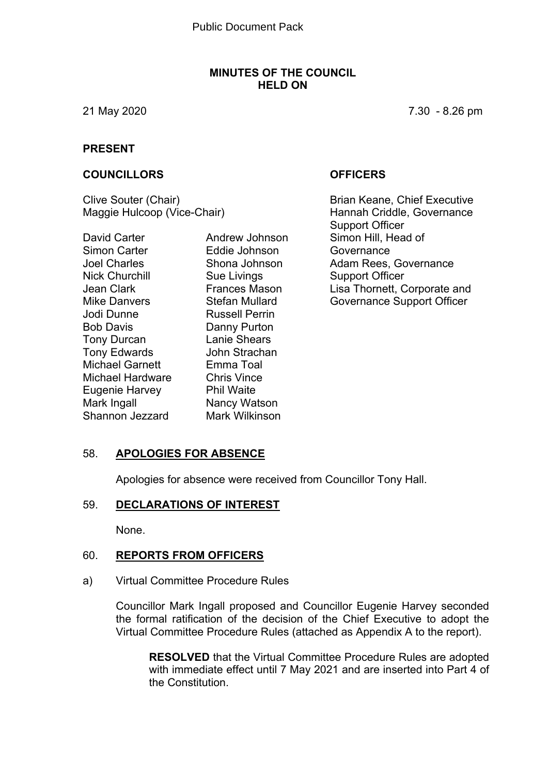#### **MINUTES OF THE COUNCIL HELD ON**

21 May 2020 7.30 - 8.26 pm

#### **PRESENT**

#### **COUNCILLORS OFFICERS**

Clive Souter (Chair) Maggie Hulcoop (Vice-Chair)

David Carter Simon Carter Joel Charles Nick Churchill Jean Clark Mike Danvers Jodi Dunne Bob Davis Tony Durcan Tony Edwards Michael Garnett Michael Hardware Eugenie Harvey Mark Ingall Shannon Jezzard

Andrew Johnson Eddie Johnson Shona Johnson Sue Livings Frances Mason Stefan Mullard Russell Perrin Danny Purton Lanie Shears John Strachan Emma Toal Chris Vince Phil Waite Nancy Watson Mark Wilkinson

Brian Keane, Chief Executive Hannah Criddle, Governance Support Officer Simon Hill, Head of **Governance** Adam Rees, Governance Support Officer Lisa Thornett, Corporate and Governance Support Officer

#### 58. **APOLOGIES FOR ABSENCE**

Apologies for absence were received from Councillor Tony Hall.

#### 59. **DECLARATIONS OF INTEREST**

None.

#### 60. **REPORTS FROM OFFICERS**

a) Virtual Committee Procedure Rules

Councillor Mark Ingall proposed and Councillor Eugenie Harvey seconded the formal ratification of the decision of the Chief Executive to adopt the Virtual Committee Procedure Rules (attached as Appendix A to the report).

**RESOLVED** that the Virtual Committee Procedure Rules are adopted with immediate effect until 7 May 2021 and are inserted into Part 4 of the Constitution.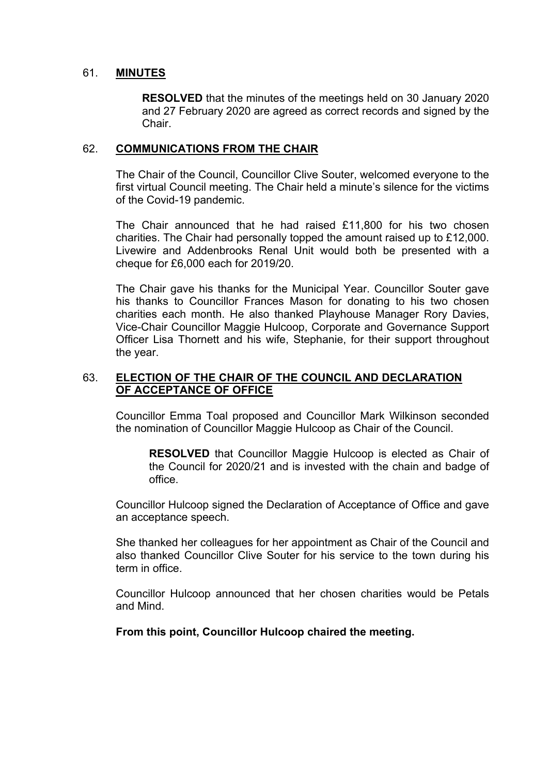#### 61. **MINUTES**

**RESOLVED** that the minutes of the meetings held on 30 January 2020 and 27 February 2020 are agreed as correct records and signed by the Chair.

#### 62. **COMMUNICATIONS FROM THE CHAIR**

The Chair of the Council, Councillor Clive Souter, welcomed everyone to the first virtual Council meeting. The Chair held a minute's silence for the victims of the Covid-19 pandemic.

The Chair announced that he had raised £11,800 for his two chosen charities. The Chair had personally topped the amount raised up to £12,000. Livewire and Addenbrooks Renal Unit would both be presented with a cheque for £6,000 each for 2019/20.

The Chair gave his thanks for the Municipal Year. Councillor Souter gave his thanks to Councillor Frances Mason for donating to his two chosen charities each month. He also thanked Playhouse Manager Rory Davies, Vice-Chair Councillor Maggie Hulcoop, Corporate and Governance Support Officer Lisa Thornett and his wife, Stephanie, for their support throughout the year.

#### 63. **ELECTION OF THE CHAIR OF THE COUNCIL AND DECLARATION OF ACCEPTANCE OF OFFICE**

Councillor Emma Toal proposed and Councillor Mark Wilkinson seconded the nomination of Councillor Maggie Hulcoop as Chair of the Council.

**RESOLVED** that Councillor Maggie Hulcoop is elected as Chair of the Council for 2020/21 and is invested with the chain and badge of office.

Councillor Hulcoop signed the Declaration of Acceptance of Office and gave an acceptance speech.

She thanked her colleagues for her appointment as Chair of the Council and also thanked Councillor Clive Souter for his service to the town during his term in office.

Councillor Hulcoop announced that her chosen charities would be Petals and Mind.

**From this point, Councillor Hulcoop chaired the meeting.**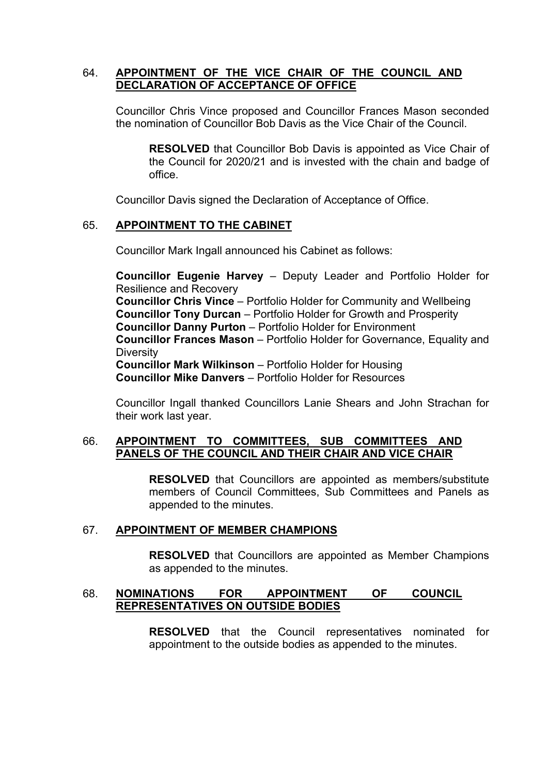#### 64. **APPOINTMENT OF THE VICE CHAIR OF THE COUNCIL AND DECLARATION OF ACCEPTANCE OF OFFICE**

Councillor Chris Vince proposed and Councillor Frances Mason seconded the nomination of Councillor Bob Davis as the Vice Chair of the Council.

**RESOLVED** that Councillor Bob Davis is appointed as Vice Chair of the Council for 2020/21 and is invested with the chain and badge of office.

Councillor Davis signed the Declaration of Acceptance of Office.

#### 65. **APPOINTMENT TO THE CABINET**

Councillor Mark Ingall announced his Cabinet as follows:

**Councillor Eugenie Harvey** – Deputy Leader and Portfolio Holder for Resilience and Recovery **Councillor Chris Vince** – Portfolio Holder for Community and Wellbeing **Councillor Tony Durcan** – Portfolio Holder for Growth and Prosperity **Councillor Danny Purton** – Portfolio Holder for Environment **Councillor Frances Mason** – Portfolio Holder for Governance, Equality and **Diversity Councillor Mark Wilkinson** – Portfolio Holder for Housing **Councillor Mike Danvers** – Portfolio Holder for Resources

Councillor Ingall thanked Councillors Lanie Shears and John Strachan for their work last year.

#### 66. **APPOINTMENT TO COMMITTEES, SUB COMMITTEES AND PANELS OF THE COUNCIL AND THEIR CHAIR AND VICE CHAIR**

**RESOLVED** that Councillors are appointed as members/substitute members of Council Committees, Sub Committees and Panels as appended to the minutes.

#### 67. **APPOINTMENT OF MEMBER CHAMPIONS**

**RESOLVED** that Councillors are appointed as Member Champions as appended to the minutes.

#### 68. **NOMINATIONS FOR APPOINTMENT OF COUNCIL REPRESENTATIVES ON OUTSIDE BODIES**

**RESOLVED** that the Council representatives nominated for appointment to the outside bodies as appended to the minutes.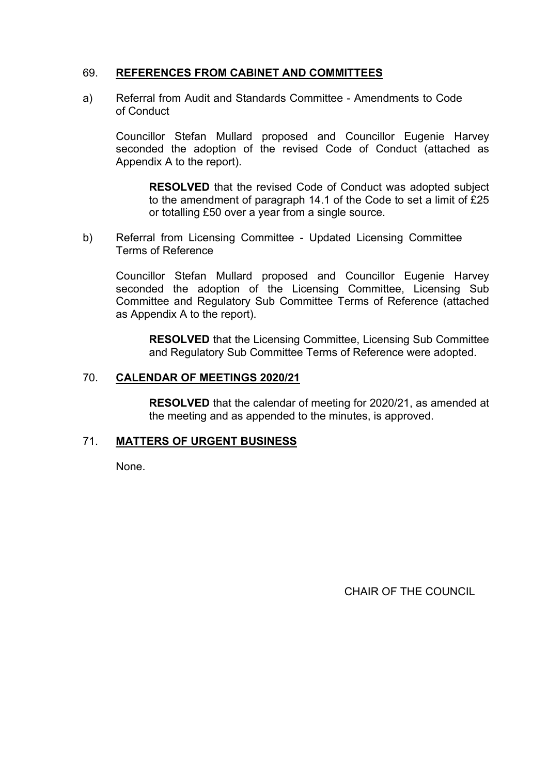### 69. **REFERENCES FROM CABINET AND COMMITTEES**

a) Referral from Audit and Standards Committee - Amendments to Code of Conduct

Councillor Stefan Mullard proposed and Councillor Eugenie Harvey seconded the adoption of the revised Code of Conduct (attached as Appendix A to the report).

**RESOLVED** that the revised Code of Conduct was adopted subject to the amendment of paragraph 14.1 of the Code to set a limit of £25 or totalling £50 over a year from a single source.

b) Referral from Licensing Committee - Updated Licensing Committee Terms of Reference

Councillor Stefan Mullard proposed and Councillor Eugenie Harvey seconded the adoption of the Licensing Committee, Licensing Sub Committee and Regulatory Sub Committee Terms of Reference (attached as Appendix A to the report).

**RESOLVED** that the Licensing Committee, Licensing Sub Committee and Regulatory Sub Committee Terms of Reference were adopted.

#### 70. **CALENDAR OF MEETINGS 2020/21**

**RESOLVED** that the calendar of meeting for 2020/21, as amended at the meeting and as appended to the minutes, is approved.

#### 71. **MATTERS OF URGENT BUSINESS**

None.

CHAIR OF THE COUNCIL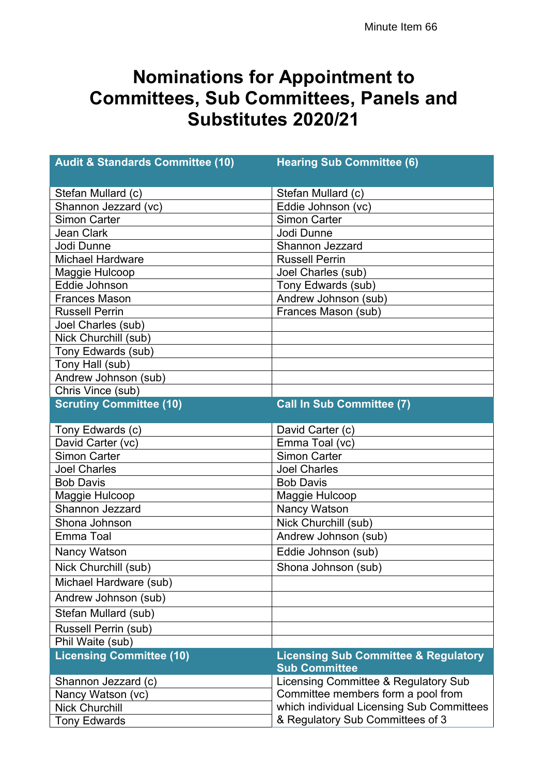### **Nominations for Appointment to Committees, Sub Committees, Panels and Substitutes 2020/21**

| <b>Audit &amp; Standards Committee (10)</b> | <b>Hearing Sub Committee (6)</b>                                        |  |  |  |  |  |  |
|---------------------------------------------|-------------------------------------------------------------------------|--|--|--|--|--|--|
| Stefan Mullard (c)                          | Stefan Mullard (c)                                                      |  |  |  |  |  |  |
| Shannon Jezzard (vc)                        | Eddie Johnson (vc)                                                      |  |  |  |  |  |  |
| <b>Simon Carter</b>                         | Simon Carter                                                            |  |  |  |  |  |  |
| <b>Jean Clark</b>                           | Jodi Dunne                                                              |  |  |  |  |  |  |
| Jodi Dunne                                  | Shannon Jezzard                                                         |  |  |  |  |  |  |
| <b>Michael Hardware</b>                     | <b>Russell Perrin</b>                                                   |  |  |  |  |  |  |
| Maggie Hulcoop                              | Joel Charles (sub)                                                      |  |  |  |  |  |  |
| Eddie Johnson                               | Tony Edwards (sub)                                                      |  |  |  |  |  |  |
| <b>Frances Mason</b>                        | Andrew Johnson (sub)                                                    |  |  |  |  |  |  |
| <b>Russell Perrin</b>                       | Frances Mason (sub)                                                     |  |  |  |  |  |  |
| Joel Charles (sub)                          |                                                                         |  |  |  |  |  |  |
| Nick Churchill (sub)                        |                                                                         |  |  |  |  |  |  |
| Tony Edwards (sub)                          |                                                                         |  |  |  |  |  |  |
| Tony Hall (sub)                             |                                                                         |  |  |  |  |  |  |
| Andrew Johnson (sub)                        |                                                                         |  |  |  |  |  |  |
| Chris Vince (sub)                           |                                                                         |  |  |  |  |  |  |
| <b>Scrutiny Committee (10)</b>              | <b>Call In Sub Committee (7)</b>                                        |  |  |  |  |  |  |
| Tony Edwards (c)                            | David Carter (c)                                                        |  |  |  |  |  |  |
| David Carter (vc)                           | Emma Toal (vc)                                                          |  |  |  |  |  |  |
| <b>Simon Carter</b>                         | Simon Carter                                                            |  |  |  |  |  |  |
| <b>Joel Charles</b>                         | <b>Joel Charles</b>                                                     |  |  |  |  |  |  |
| <b>Bob Davis</b>                            | <b>Bob Davis</b>                                                        |  |  |  |  |  |  |
| Maggie Hulcoop                              | Maggie Hulcoop                                                          |  |  |  |  |  |  |
| Shannon Jezzard                             | Nancy Watson                                                            |  |  |  |  |  |  |
| Shona Johnson                               | Nick Churchill (sub)                                                    |  |  |  |  |  |  |
| Emma Toal                                   | Andrew Johnson (sub)                                                    |  |  |  |  |  |  |
| Nancy Watson                                | Eddie Johnson (sub)                                                     |  |  |  |  |  |  |
| Nick Churchill (sub)                        | Shona Johnson (sub)                                                     |  |  |  |  |  |  |
| Michael Hardware (sub)                      |                                                                         |  |  |  |  |  |  |
| Andrew Johnson (sub)                        |                                                                         |  |  |  |  |  |  |
| Stefan Mullard (sub)                        |                                                                         |  |  |  |  |  |  |
| Russell Perrin (sub)                        |                                                                         |  |  |  |  |  |  |
| Phil Waite (sub)                            |                                                                         |  |  |  |  |  |  |
| <b>Licensing Committee (10)</b>             | <b>Licensing Sub Committee &amp; Regulatory</b><br><b>Sub Committee</b> |  |  |  |  |  |  |
| Shannon Jezzard (c)                         | Licensing Committee & Regulatory Sub                                    |  |  |  |  |  |  |
| Nancy Watson (vc)                           | Committee members form a pool from                                      |  |  |  |  |  |  |
| <b>Nick Churchill</b>                       | which individual Licensing Sub Committees                               |  |  |  |  |  |  |
| <b>Tony Edwards</b>                         | & Regulatory Sub Committees of 3                                        |  |  |  |  |  |  |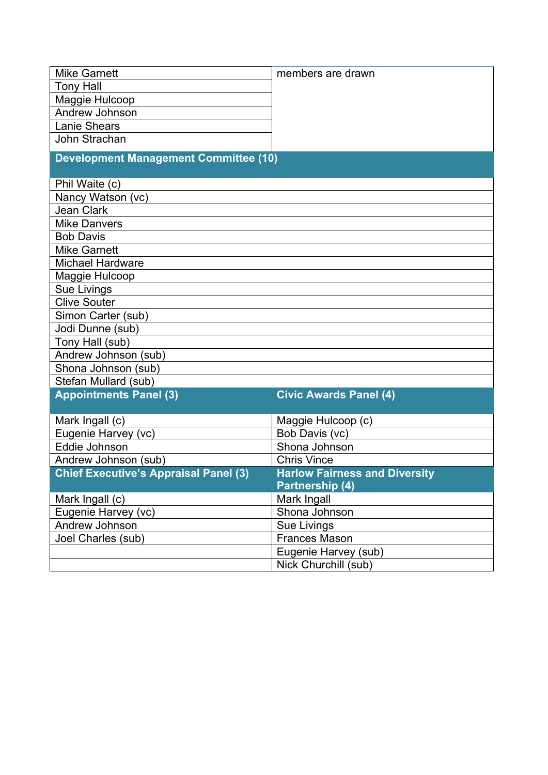| <b>Mike Garnett</b>                          | members are drawn                    |  |  |  |  |  |
|----------------------------------------------|--------------------------------------|--|--|--|--|--|
| <b>Tony Hall</b>                             |                                      |  |  |  |  |  |
| Maggie Hulcoop                               |                                      |  |  |  |  |  |
| Andrew Johnson                               |                                      |  |  |  |  |  |
| <b>Lanie Shears</b>                          |                                      |  |  |  |  |  |
| John Strachan                                |                                      |  |  |  |  |  |
| <b>Development Management Committee (10)</b> |                                      |  |  |  |  |  |
|                                              |                                      |  |  |  |  |  |
| Phil Waite (c)                               |                                      |  |  |  |  |  |
| Nancy Watson (vc)                            |                                      |  |  |  |  |  |
| <b>Jean Clark</b>                            |                                      |  |  |  |  |  |
| <b>Mike Danvers</b>                          |                                      |  |  |  |  |  |
| <b>Bob Davis</b>                             |                                      |  |  |  |  |  |
| <b>Mike Garnett</b>                          |                                      |  |  |  |  |  |
| <b>Michael Hardware</b>                      |                                      |  |  |  |  |  |
| Maggie Hulcoop                               |                                      |  |  |  |  |  |
| Sue Livings                                  |                                      |  |  |  |  |  |
| <b>Clive Souter</b>                          |                                      |  |  |  |  |  |
| Simon Carter (sub)                           |                                      |  |  |  |  |  |
| Jodi Dunne (sub)                             |                                      |  |  |  |  |  |
| Tony Hall (sub)                              |                                      |  |  |  |  |  |
| Andrew Johnson (sub)                         |                                      |  |  |  |  |  |
| Shona Johnson (sub)                          |                                      |  |  |  |  |  |
| Stefan Mullard (sub)                         |                                      |  |  |  |  |  |
| <b>Appointments Panel (3)</b>                | <b>Civic Awards Panel (4)</b>        |  |  |  |  |  |
| Mark Ingall (c)                              | Maggie Hulcoop (c)                   |  |  |  |  |  |
| Eugenie Harvey (vc)                          | Bob Davis (vc)                       |  |  |  |  |  |
| Eddie Johnson                                | Shona Johnson                        |  |  |  |  |  |
| Andrew Johnson (sub)                         | <b>Chris Vince</b>                   |  |  |  |  |  |
| <b>Chief Executive's Appraisal Panel (3)</b> | <b>Harlow Fairness and Diversity</b> |  |  |  |  |  |
|                                              | Partnership (4)                      |  |  |  |  |  |
| Mark Ingall (c)                              | Mark Ingall                          |  |  |  |  |  |
| Eugenie Harvey (vc)                          | Shona Johnson                        |  |  |  |  |  |
| Andrew Johnson                               | Sue Livings                          |  |  |  |  |  |
| Joel Charles (sub)                           | <b>Frances Mason</b>                 |  |  |  |  |  |
|                                              | Eugenie Harvey (sub)                 |  |  |  |  |  |
|                                              | Nick Churchill (sub)                 |  |  |  |  |  |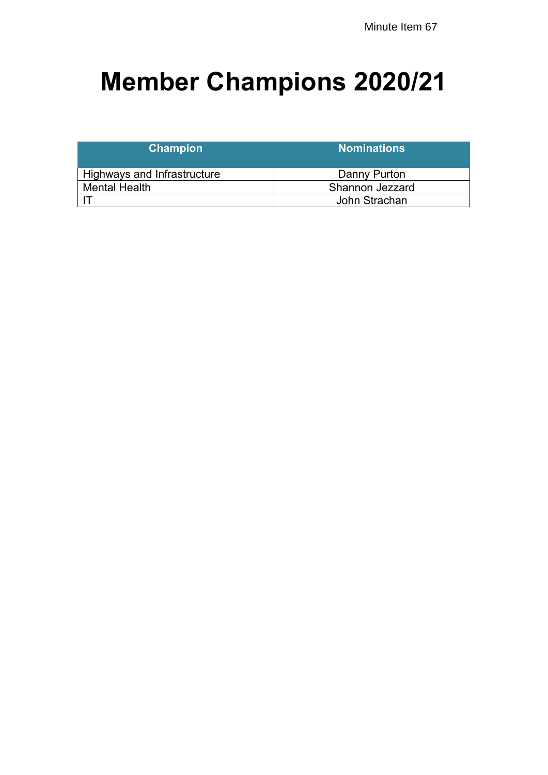# **Member Champions 2020/21**

| <b>Champion</b>             | <b>Nominations</b> |  |  |  |  |
|-----------------------------|--------------------|--|--|--|--|
| Highways and Infrastructure | Danny Purton       |  |  |  |  |
| <b>Mental Health</b>        | Shannon Jezzard    |  |  |  |  |
|                             | John Strachan      |  |  |  |  |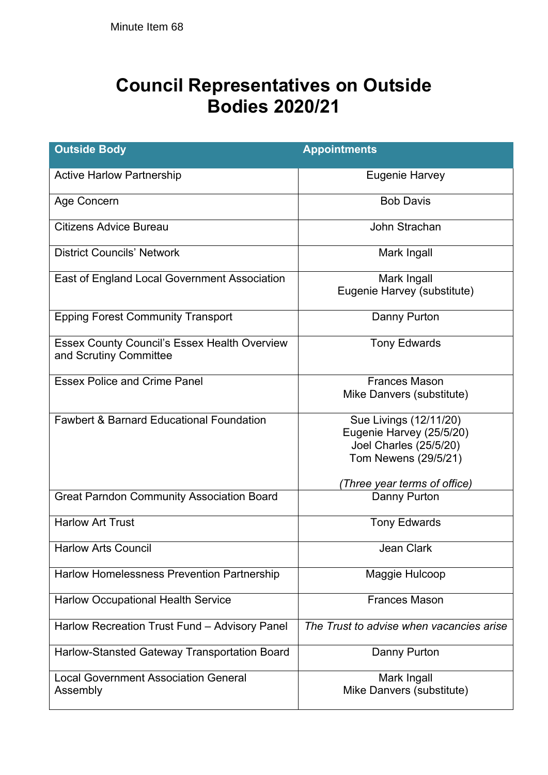## **Council Representatives on Outside Bodies 2020/21**

| <b>Outside Body</b>                                                           | <b>Appointments</b>                                                                                  |
|-------------------------------------------------------------------------------|------------------------------------------------------------------------------------------------------|
| <b>Active Harlow Partnership</b>                                              | Eugenie Harvey                                                                                       |
| Age Concern                                                                   | <b>Bob Davis</b>                                                                                     |
| <b>Citizens Advice Bureau</b>                                                 | John Strachan                                                                                        |
| <b>District Councils' Network</b>                                             | Mark Ingall                                                                                          |
| East of England Local Government Association                                  | Mark Ingall<br>Eugenie Harvey (substitute)                                                           |
| <b>Epping Forest Community Transport</b>                                      | Danny Purton                                                                                         |
| <b>Essex County Council's Essex Health Overview</b><br>and Scrutiny Committee | <b>Tony Edwards</b>                                                                                  |
| <b>Essex Police and Crime Panel</b>                                           | <b>Frances Mason</b><br>Mike Danvers (substitute)                                                    |
| <b>Fawbert &amp; Barnard Educational Foundation</b>                           | Sue Livings (12/11/20)<br>Eugenie Harvey (25/5/20)<br>Joel Charles (25/5/20)<br>Tom Newens (29/5/21) |
|                                                                               | (Three year terms of office)                                                                         |
| <b>Great Parndon Community Association Board</b>                              | Danny Purton                                                                                         |
| <b>Harlow Art Trust</b>                                                       | <b>Tony Edwards</b>                                                                                  |
| <b>Harlow Arts Council</b>                                                    | Jean Clark                                                                                           |
| Harlow Homelessness Prevention Partnership                                    | Maggie Hulcoop                                                                                       |
| <b>Harlow Occupational Health Service</b>                                     | <b>Frances Mason</b>                                                                                 |
| Harlow Recreation Trust Fund - Advisory Panel                                 | The Trust to advise when vacancies arise                                                             |
| Harlow-Stansted Gateway Transportation Board                                  | Danny Purton                                                                                         |
| <b>Local Government Association General</b><br>Assembly                       | Mark Ingall<br>Mike Danvers (substitute)                                                             |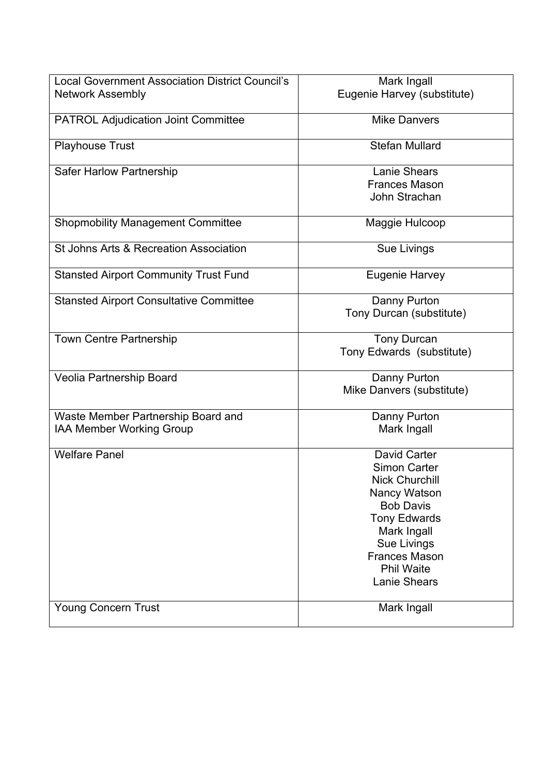| <b>Local Government Association District Council's</b>                | Mark Ingall                                                                                                                                                                                                        |
|-----------------------------------------------------------------------|--------------------------------------------------------------------------------------------------------------------------------------------------------------------------------------------------------------------|
| <b>Network Assembly</b>                                               | Eugenie Harvey (substitute)                                                                                                                                                                                        |
| <b>PATROL Adjudication Joint Committee</b>                            | <b>Mike Danvers</b>                                                                                                                                                                                                |
| <b>Playhouse Trust</b>                                                | <b>Stefan Mullard</b>                                                                                                                                                                                              |
| Safer Harlow Partnership                                              | <b>Lanie Shears</b><br><b>Frances Mason</b><br>John Strachan                                                                                                                                                       |
| <b>Shopmobility Management Committee</b>                              | Maggie Hulcoop                                                                                                                                                                                                     |
| St Johns Arts & Recreation Association                                | Sue Livings                                                                                                                                                                                                        |
| <b>Stansted Airport Community Trust Fund</b>                          | <b>Eugenie Harvey</b>                                                                                                                                                                                              |
| <b>Stansted Airport Consultative Committee</b>                        | Danny Purton<br>Tony Durcan (substitute)                                                                                                                                                                           |
| <b>Town Centre Partnership</b>                                        | <b>Tony Durcan</b><br>Tony Edwards (substitute)                                                                                                                                                                    |
| Veolia Partnership Board                                              | Danny Purton<br>Mike Danvers (substitute)                                                                                                                                                                          |
| Waste Member Partnership Board and<br><b>IAA Member Working Group</b> | Danny Purton<br>Mark Ingall                                                                                                                                                                                        |
| <b>Welfare Panel</b>                                                  | David Carter<br>Simon Carter<br><b>Nick Churchill</b><br>Nancy Watson<br><b>Bob Davis</b><br><b>Tony Edwards</b><br>Mark Ingall<br>Sue Livings<br><b>Frances Mason</b><br><b>Phil Waite</b><br><b>Lanie Shears</b> |
| Young Concern Trust                                                   | Mark Ingall                                                                                                                                                                                                        |